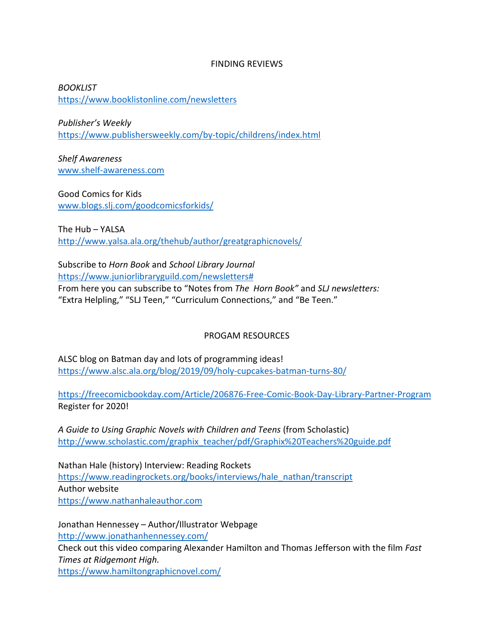## FINDING REVIEWS

*BOOKLIST* <https://www.booklistonline.com/newsletters>

*Publisher's Weekly* <https://www.publishersweekly.com/by-topic/childrens/index.html>

*Shelf Awareness* [www.shelf-awareness.com](http://www.shelf-awareness.com/)

Good Comics for Kids [www.blogs.slj.com/goodcomicsforkids/](http://www.blogs.slj.com/goodcomicsforkids/)

The Hub – YALSA <http://www.yalsa.ala.org/thehub/author/greatgraphicnovels/>

Subscribe to *Horn Book* and *School Library Journal* [https://www.juniorlibraryguild.com/newsletters#](https://www.juniorlibraryguild.com/newsletters) From here you can subscribe to "Notes from *The Horn Book"* and *SLJ newsletters:* "Extra Helpling," "SLJ Teen," "Curriculum Connections," and "Be Teen."

## PROGAM RESOURCES

ALSC blog on Batman day and lots of programming ideas! <https://www.alsc.ala.org/blog/2019/09/holy-cupcakes-batman-turns-80/>

<https://freecomicbookday.com/Article/206876-Free-Comic-Book-Day-Library-Partner-Program> Register for 2020!

*A Guide to Using Graphic Novels with Children and Teens* (from Scholastic) [http://www.scholastic.com/graphix\\_teacher/pdf/Graphix%20Teachers%20guide.pdf](http://www.scholastic.com/graphix_teacher/pdf/Graphix%20Teachers%20guide.pdf)

Nathan Hale (history) Interview: Reading Rockets [https://www.readingrockets.org/books/interviews/hale\\_nathan/transcript](https://www.readingrockets.org/books/interviews/hale_nathan/transcript) Author website [https://www.nathanhaleauthor.com](https://www.nathanhaleauthor.com/)

Jonathan Hennessey – Author/Illustrator Webpage <http://www.jonathanhennessey.com/> Check out this video comparing Alexander Hamilton and Thomas Jefferson with the film *Fast Times at Ridgemont High.*

<https://www.hamiltongraphicnovel.com/>